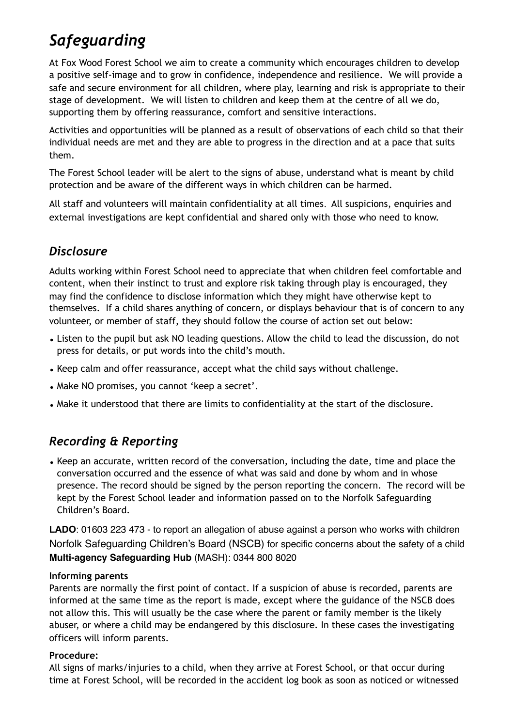# *Safeguarding*

At Fox Wood Forest School we aim to create a community which encourages children to develop a positive self-image and to grow in confidence, independence and resilience. We will provide a safe and secure environment for all children, where play, learning and risk is appropriate to their stage of development. We will listen to children and keep them at the centre of all we do, supporting them by offering reassurance, comfort and sensitive interactions.

Activities and opportunities will be planned as a result of observations of each child so that their individual needs are met and they are able to progress in the direction and at a pace that suits them.

The Forest School leader will be alert to the signs of abuse, understand what is meant by child protection and be aware of the different ways in which children can be harmed.

All staff and volunteers will maintain confidentiality at all times. All suspicions, enquiries and external investigations are kept confidential and shared only with those who need to know.

# *Disclosure*

Adults working within Forest School need to appreciate that when children feel comfortable and content, when their instinct to trust and explore risk taking through play is encouraged, they may find the confidence to disclose information which they might have otherwise kept to themselves. If a child shares anything of concern, or displays behaviour that is of concern to any volunteer, or member of staff, they should follow the course of action set out below:

- Listen to the pupil but ask NO leading questions. Allow the child to lead the discussion, do not press for details, or put words into the child's mouth.
- Keep calm and offer reassurance, accept what the child says without challenge.
- Make NO promises, you cannot 'keep a secret'.
- Make it understood that there are limits to confidentiality at the start of the disclosure.

# *Recording & Reporting*

• Keep an accurate, written record of the conversation, including the date, time and place the conversation occurred and the essence of what was said and done by whom and in whose presence. The record should be signed by the person reporting the concern. The record will be kept by the Forest School leader and information passed on to the Norfolk Safeguarding Children's Board.

**LADO**: 01603 223 473 - to report an allegation of abuse against a person who works with children Norfolk Safeguarding Children's Board (NSCB) for specific concerns about the safety of a child **Multi-agency Safeguarding Hub** (MASH): 0344 800 8020

#### **Informing parents**

Parents are normally the first point of contact. If a suspicion of abuse is recorded, parents are informed at the same time as the report is made, except where the guidance of the NSCB does not allow this. This will usually be the case where the parent or family member is the likely abuser, or where a child may be endangered by this disclosure. In these cases the investigating officers will inform parents.

#### **Procedure:**

All signs of marks/injuries to a child, when they arrive at Forest School, or that occur during time at Forest School, will be recorded in the accident log book as soon as noticed or witnessed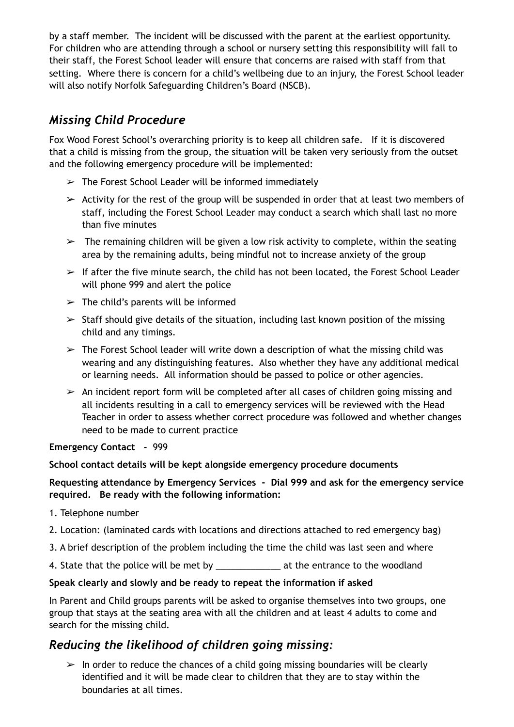by a staff member. The incident will be discussed with the parent at the earliest opportunity. For children who are attending through a school or nursery setting this responsibility will fall to their staff, the Forest School leader will ensure that concerns are raised with staff from that setting. Where there is concern for a child's wellbeing due to an injury, the Forest School leader will also notify Norfolk Safeguarding Children's Board (NSCB).

# *Missing Child Procedure*

Fox Wood Forest School's overarching priority is to keep all children safe. If it is discovered that a child is missing from the group, the situation will be taken very seriously from the outset and the following emergency procedure will be implemented:

- $\geq$  The Forest School Leader will be informed immediately
- $\geq$  Activity for the rest of the group will be suspended in order that at least two members of staff, including the Forest School Leader may conduct a search which shall last no more than five minutes
- $\geq$  The remaining children will be given a low risk activity to complete, within the seating area by the remaining adults, being mindful not to increase anxiety of the group
- $\geq$  If after the five minute search, the child has not been located, the Forest School Leader will phone 999 and alert the police
- $\geq$  The child's parents will be informed
- $\geq$  Staff should give details of the situation, including last known position of the missing child and any timings.
- $\geq$  The Forest School leader will write down a description of what the missing child was wearing and any distinguishing features. Also whether they have any additional medical or learning needs. All information should be passed to police or other agencies.
- $\geq$  An incident report form will be completed after all cases of children going missing and all incidents resulting in a call to emergency services will be reviewed with the Head Teacher in order to assess whether correct procedure was followed and whether changes need to be made to current practice

#### **Emergency Contact -** 999

#### **School contact details will be kept alongside emergency procedure documents**

#### **Requesting attendance by Emergency Services - Dial 999 and ask for the emergency service required. Be ready with the following information:**

- 1. Telephone number
- 2. Location: (laminated cards with locations and directions attached to red emergency bag)
- 3. A brief description of the problem including the time the child was last seen and where
- 4. State that the police will be met by \_\_\_\_\_\_\_\_\_\_\_\_\_ at the entrance to the woodland

#### **Speak clearly and slowly and be ready to repeat the information if asked**

In Parent and Child groups parents will be asked to organise themselves into two groups, one group that stays at the seating area with all the children and at least 4 adults to come and search for the missing child.

### *Reducing the likelihood of children going missing:*

 $\geq$  In order to reduce the chances of a child going missing boundaries will be clearly identified and it will be made clear to children that they are to stay within the boundaries at all times.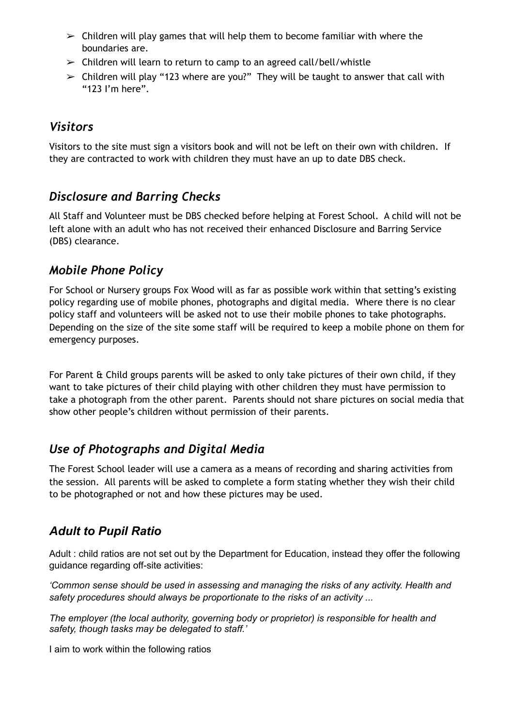- $\geq$  Children will play games that will help them to become familiar with where the boundaries are.
- $\geq$  Children will learn to return to camp to an agreed call/bell/whistle
- $\triangleright$  Children will play "123 where are you?" They will be taught to answer that call with "123 I'm here".

### *Visitors*

Visitors to the site must sign a visitors book and will not be left on their own with children. If they are contracted to work with children they must have an up to date DBS check.

### *Disclosure and Barring Checks*

All Staff and Volunteer must be DBS checked before helping at Forest School. A child will not be left alone with an adult who has not received their enhanced Disclosure and Barring Service (DBS) clearance.

### *Mobile Phone Policy*

For School or Nursery groups Fox Wood will as far as possible work within that setting's existing policy regarding use of mobile phones, photographs and digital media. Where there is no clear policy staff and volunteers will be asked not to use their mobile phones to take photographs. Depending on the size of the site some staff will be required to keep a mobile phone on them for emergency purposes.

For Parent & Child groups parents will be asked to only take pictures of their own child, if they want to take pictures of their child playing with other children they must have permission to take a photograph from the other parent. Parents should not share pictures on social media that show other people's children without permission of their parents.

# *Use of Photographs and Digital Media*

The Forest School leader will use a camera as a means of recording and sharing activities from the session. All parents will be asked to complete a form stating whether they wish their child to be photographed or not and how these pictures may be used.

# *Adult to Pupil Ratio*

Adult : child ratios are not set out by the Department for Education, instead they offer the following guidance regarding off-site activities:

*'Common sense should be used in assessing and managing the risks of any activity. Health and safety procedures should always be proportionate to the risks of an activity ...* 

*The employer (the local authority, governing body or proprietor) is responsible for health and safety, though tasks may be delegated to staff.'* 

I aim to work within the following ratios